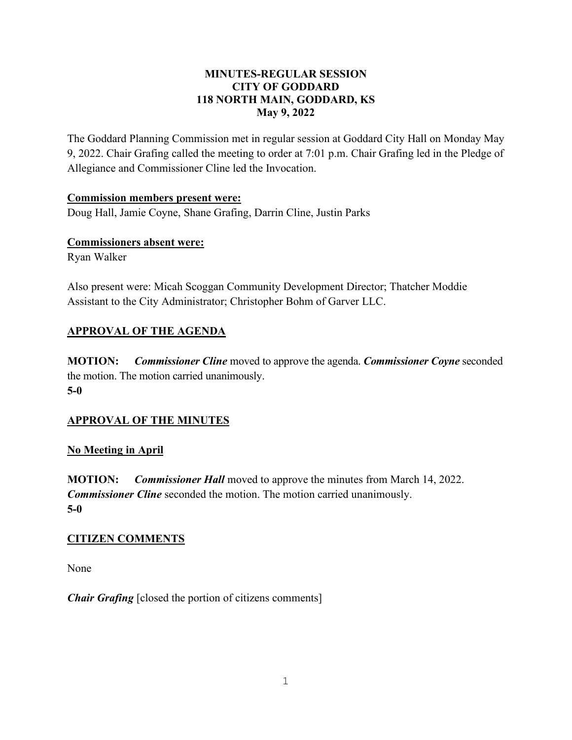#### **MINUTES-REGULAR SESSION CITY OF GODDARD 118 NORTH MAIN, GODDARD, KS May 9, 2022**

The Goddard Planning Commission met in regular session at Goddard City Hall on Monday May 9, 2022. Chair Grafing called the meeting to order at 7:01 p.m. Chair Grafing led in the Pledge of Allegiance and Commissioner Cline led the Invocation.

#### **Commission members present were:**

Doug Hall, Jamie Coyne, Shane Grafing, Darrin Cline, Justin Parks

#### **Commissioners absent were:**

Ryan Walker

Also present were: Micah Scoggan Community Development Director; Thatcher Moddie Assistant to the City Administrator; Christopher Bohm of Garver LLC.

# **APPROVAL OF THE AGENDA**

**MOTION:** *Commissioner Cline* moved to approve the agenda. *Commissioner Coyne* seconded the motion. The motion carried unanimously. **5-0**

## **APPROVAL OF THE MINUTES**

## **No Meeting in April**

**MOTION:** *Commissioner Hall* moved to approve the minutes from March 14, 2022. *Commissioner Cline* seconded the motion. The motion carried unanimously. **5-0** 

## **CITIZEN COMMENTS**

None

*Chair Grafing* [closed the portion of citizens comments]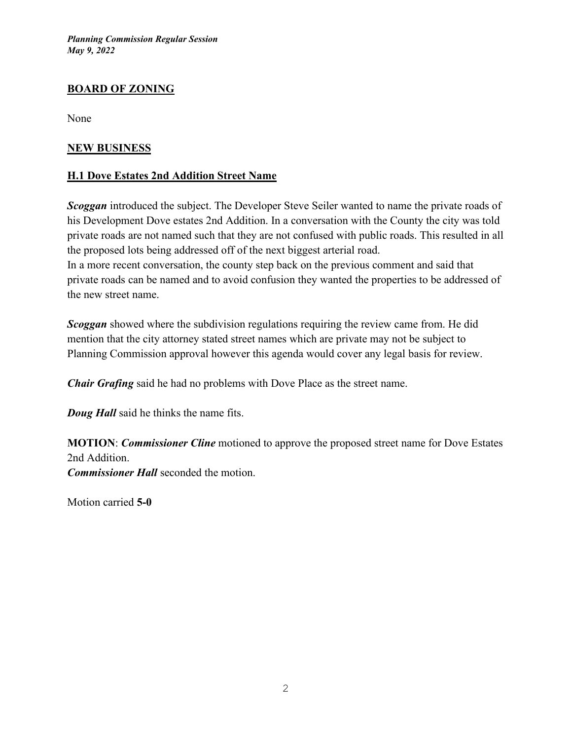## **BOARD OF ZONING**

None

#### **NEW BUSINESS**

#### **H.1 Dove Estates 2nd Addition Street Name**

*Scoggan* introduced the subject. The Developer Steve Seiler wanted to name the private roads of his Development Dove estates 2nd Addition. In a conversation with the County the city was told private roads are not named such that they are not confused with public roads. This resulted in all the proposed lots being addressed off of the next biggest arterial road. In a more recent conversation, the county step back on the previous comment and said that

private roads can be named and to avoid confusion they wanted the properties to be addressed of the new street name.

**Scoggan** showed where the subdivision regulations requiring the review came from. He did mention that the city attorney stated street names which are private may not be subject to Planning Commission approval however this agenda would cover any legal basis for review.

*Chair Grafing* said he had no problems with Dove Place as the street name.

*Doug Hall* said he thinks the name fits.

**MOTION**: *Commissioner Cline* motioned to approve the proposed street name for Dove Estates 2nd Addition. *Commissioner Hall* seconded the motion.

Motion carried **5-0**